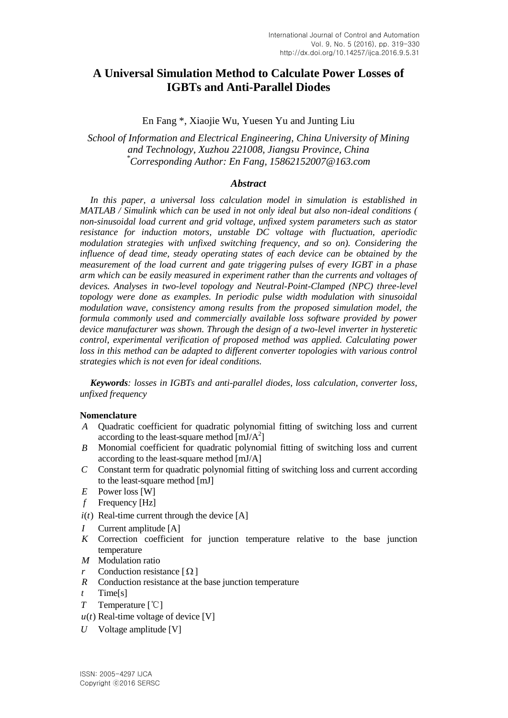# **A Universal Simulation Method to Calculate Power Losses of IGBTs and Anti-Parallel Diodes**

En Fang \*, Xiaojie Wu, Yuesen Yu and Junting Liu

*School of Information and Electrical Engineering, China University of Mining and Technology, Xuzhou 221008, Jiangsu Province, China \*Corresponding Author: En Fang, 15862152007@163.com*

#### *Abstract*

In this paper, a universal loss calculation model in simulation is established in *MATLAB / Simulink which can be used in not only ideal but also non-ideal conditions ( non-sinusoidal load current and grid voltage, unfixed system parameters such as stator resistance for induction motors, unstable DC voltage with fluctuation, aperiodic modulation strategies with unfixed switching frequency, and so on). Considering the influence of dead time, steady operating states of each device can be obtained by the measurement of the load current and gate triggering pulses of every IGBT in a phase arm which can be easily measured in experiment rather than the currents and voltages of devices. Analyses in two-level topology and Neutral-Point-Clamped (NPC) three-level topology were done as examples. In periodic pulse width modulation with sinusoidal modulation wave, consistency among results from the proposed simulation model, the formula commonly used and commercially available loss software provided by power device manufacturer was shown. Through the design of a two-level inverter in hysteretic control, experimental verification of proposed method was applied. Calculating power loss in this method can be adapted to different converter topologies with various control strategies which is not even for ideal conditions.*

*Keywords: losses in IGBTs and anti-parallel diodes, loss calculation, converter loss, unfixed frequency*

#### **Nomenclature**

- *A* Quadratic coefficient for quadratic polynomial fitting of switching loss and current according to the least-square method  $[mJ/A^2]$
- *B* Monomial coefficient for quadratic polynomial fitting of switching loss and current according to the least-square method [mJ/A]
- *C* Constant term for quadratic polynomial fitting of switching loss and current according to the least-square method [mJ]
- *E* Power loss [W]
- *f* Frequency [Hz]
- $i(t)$  Real-time current through the device [A]
- *I* Current amplitude [A]
- *K* Correction coefficient for junction temperature relative to the base junction temperature
- *M* Modulation ratio
- *r* Conduction resistance  $[\Omega]$
- *R* Conduction resistance at the base junction temperature
- *t* Time[s]
- *T* Temperature [℃]
- $u(t)$  Real-time voltage of device [V]
- *U* Voltage amplitude [V]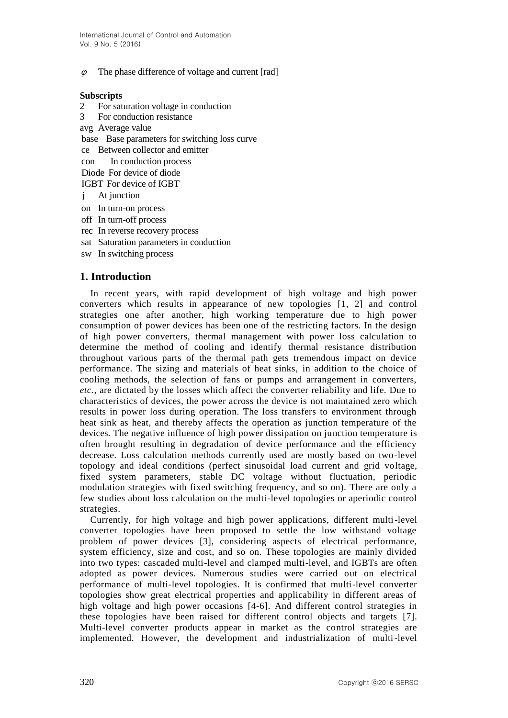The phase difference of voltage and current [rad]

### **Subscripts**

- 2 For saturation voltage in conduction
- 3 For conduction resistance
- avg Average value
- base Base parameters for switching loss curve
- ce Between collector and emitter
- con In conduction process
- Diode For device of diode
- IGBT For device of IGBT
- j At junction
- on In turn-on process
- off In turn-off process
- rec In reverse recovery process
- sat Saturation parameters in conduction
- sw In switching process

# **1. Introduction**

6<br>
The present universite of volume and current pairs)<br>
Subsetty is<br>a Findernich volume of the simulation and mini-<br>subsetty and current of the simulation and mini-<br>subsetty and the simulation measure of the simulation m In recent years, with rapid development of high voltage and high power converters which results in appearance of new topologies [1, 2] and control strategies one after another, high working temperature due to high power consumption of power devices has been one of the restricting factors. In the design of high power converters, thermal management with power loss calculation to determine the method of cooling and identify thermal resistance distribution throughout various parts of the thermal path gets tremendous impact on device performance. The sizing and materials of heat sinks, in addition to the choice of cooling methods, the selection of fans or pumps and arrangement in converters, *etc.*, are dictated by the losses which affect the converter reliability and life. Due to characteristics of devices, the power across the device is not maintained zero which results in power loss during operation. The loss transfers to environment through heat sink as heat, and thereby affects the operation as junction temperature of the devices. The negative influence of high power dissipation on junction temperature is often brought resulting in degradation of device performance and the efficiency decrease. Loss calculation methods currently used are mostly based on two-level topology and ideal conditions (perfect sinusoidal load current and grid voltage, fixed system parameters, stable DC voltage without fluctuation, periodic modulation strategies with fixed switching frequency, and so on). There are only a few studies about loss calculation on the multi-level topologies or aperiodic control strategies.

Currently, for high voltage and high power applications, different multi-level converter topologies have been proposed to settle the low withstand voltage problem of power devices [3], considering aspects of electrical performance, system efficiency, size and cost, and so on. These topologies are mainly divided into two types: cascaded multi-level and clamped multi-level, and IGBTs are often adopted as power devices. Numerous studies were carried out on electrical performance of multi-level topologies. It is confirmed that multi-level converter topologies show great electrical properties and applicability in different areas of high voltage and high power occasions [4-6]. And different control strategies in these topologies have been raised for different control objects and targets [7]. Multi-level converter products appear in market as the control strategies are implemented. However, the development and industrialization of multi-level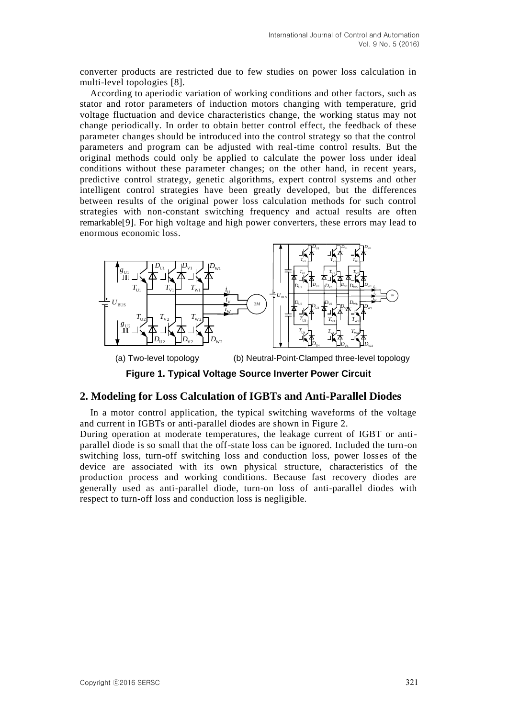converter products are restricted due to few studies on power loss calculation in multi-level topologies [8].

According to aperiodic variation of working conditions and other factors, such as stator and rotor parameters of induction motors changing with temperature, grid voltage fluctuation and device characteristics change, the working status may not change periodically. In order to obtain better control effect, the feedback of these parameter changes should be introduced into the control strategy so that the control parameters and program can be adjusted with real-time control results. But the original methods could only be applied to calculate the power loss under ideal conditions without these parameter changes; on the other hand, in recent years, predictive control strategy, genetic algorithms, expert control systems and other intelligent control strategies have been greatly developed, but the differences between results of the original power loss calculation methods for such control strategies with non-constant switching frequency and actual results are often remarkable[9]. For high voltage and high power converters, these errors may lead to enormous economic loss.



(a) Two-level topology (b) Neutral-Point-Clamped three-level topology

**Figure 1. Typical Voltage Source Inverter Power Circuit**

### **2. Modeling for Loss Calculation of IGBTs and Anti-Parallel Diodes**

In a motor control application, the typical switching waveforms of the voltage and current in IGBTs or anti-parallel diodes are shown in Figure 2.

During operation at moderate temperatures, the leakage current of IGBT or antiparallel diode is so small that the off-state loss can be ignored. Included the turn-on switching loss, turn-off switching loss and conduction loss, power losses of the device are associated with its own physical structure, characteristics of the production process and working conditions. Because fast recovery diodes are generally used as anti-parallel diode, turn-on loss of anti-parallel diodes with respect to turn-off loss and conduction loss is negligible.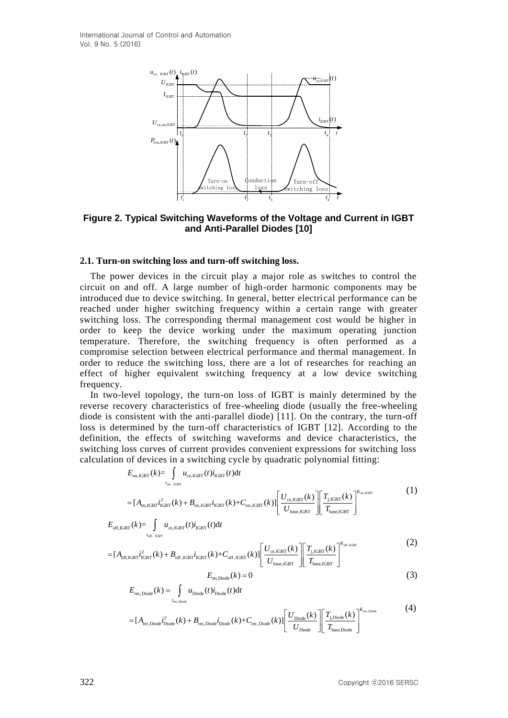International Journal of Control and Automation Vol. 9 No. 5 (2016)



**Figure 2. Typical Switching Waveforms of the Voltage and Current in IGBT and Anti-Parallel Diodes [10]**

#### **2.1. Turn-on switching loss and turn-off switching loss.**

Equive 2. Typical Switching base and the voltage and Current in 1GBT<br>
<sup>22</sup><br>
<sup>2</sup><br>
<sup>2</sup><br>
<sup>2</sup><br>
<sup>2</sup><br>
<sup>2</sup><br> **22.1. Turn-on switching base and turn-off switching less.<br>
<b>32.1.** Turn-on switching less and turn-off switching less.<br> The power devices in the circuit play a major role as switches to control the circuit on and off. A large number of high-order harmonic components may be introduced due to device switching. In general, better electrical performance can be reached under higher switching frequency within a certain range with greater switching loss. The corresponding thermal management cost would be higher in order to keep the device working under the maximum operating junction temperature. Therefore, the switching frequency is often performed as a compromise selection between electrical performance and thermal management. In order to reduce the switching loss, there are a lot of researches for reaching an effect of higher equivalent switching frequency at a low device switching frequency.

In two-level topology, the turn-on loss of IGBT is mainly determined by the reverse recovery characteristics of free-wheeling diode (usually the free-wheeling diode is consistent with the anti-parallel diode) [11]. On the contrary, the turn-off loss is determined by the turn-off characteristics of IGBT [12]. According to the definition, the effects of switching waveforms and device characteristics, the switching loss curves of current provides convenient expressions for switching loss switching ross curves of current provides convenient expressions for switching cycle by quadratic polynomial fitting:<br>  $E_{on,\text{IGBT}}(k) = \int u_{\text{ce,IGBT}}(t) i_{\text{IGBT}}(t) dt$ 

$$
E_{\text{on,IGBT}}(k) = \int_{t_{\text{on,IGBT}}} u_{\text{ce,IGBT}}(t) i_{\text{IGBT}}(t) dt
$$
  
= 
$$
[A_{\text{on,IGBT}} i_{\text{IGBT}}^2(k) + B_{\text{on,IGBT}} i_{\text{IGBT}}(k) + C_{\text{on,IGBT}}(k)] \left[ \frac{U_{\text{ce,IGBT}}(k)}{U_{\text{base,IGBT}}} \right] \left[ \frac{T_{\text{j,IGBT}}(k)}{T_{\text{base,IGBT}}} \right]^{K_{\text{on,IGBT}}} \tag{1}
$$

$$
= [A_{\text{on,IGBT}}i_{\text{IGBT}}^2(k) + B_{\text{on,IGBT}}i_{\text{IGF}}
$$

$$
E_{\text{off,IGBT}}(k) = \int_{t_{\text{off,IGBT}}} u_{\text{ce,IGBT}}(t) i_{\text{IGBT}}(t) dt
$$

$$
E_{\text{off,IGBT}}(k) = \int_{t_{\text{off,IGBT}}} u_{\text{ce,IGBT}}(t) i_{\text{IGBT}}(t) dt
$$
  
= 
$$
[A_{\text{off,IGBT}} i_{\text{IGFT}}^2(k) + B_{\text{off,IGBT}} i_{\text{IGBT}}(k) + C_{\text{off,IGBT}}(k)] \left[ \frac{U_{\text{ce,IGBT}}(k)}{U_{\text{base,IGBT}}} \right] \left[ \frac{T_{\text{j,IGBT}}(k)}{T_{\text{base,IGBT}}} \right]^{K_{\text{off,IGBT}}}
$$
(2)

$$
E_{\text{on, Diode}}(k) = 0\tag{3}
$$

$$
E_{\text{on, Diode}}(k) = 0
$$
\n
$$
E_{\text{rec, Diode}}(k) = \int_{t_{\text{rec, Diode}}} u_{\text{Diode}}(t) i_{\text{Diode}}(t) dt
$$
\n
$$
= [A_{\text{rec, Diode}}]_{t_{\text{Diode}}^2}(k) + B_{\text{rec, Diode}} i_{\text{Diode}}(k) + C_{\text{rec, Diode}}(k)] \left[ \frac{U_{\text{Diode}}(k)}{\omega_{\text{Diode}}(k)} \right] \left[ \frac{T_{\text{j, Diode}}(k)}{T_{\text{j, Diode}}(k)} \right]^{K_{\text{rec, Diode}}} \tag{4}
$$

$$
= [A_{\text{rec}, \text{Diode}} i_{\text{Diode}}^2(k) + B_{\text{rec}, \text{Diode}} i_{\text{Diode}}(k) + C_{\text{rec}, \text{Diode}}(k)] \left[ \frac{U_{\text{Diode}}(k)}{U_{\text{Diode}}} \right] \left[ \frac{T_{\text{j. Diode}}(k)}{T_{\text{base}, \text{Diode}}} \right]^{K_{\text{rec}, \text{Diode}}} \tag{4}
$$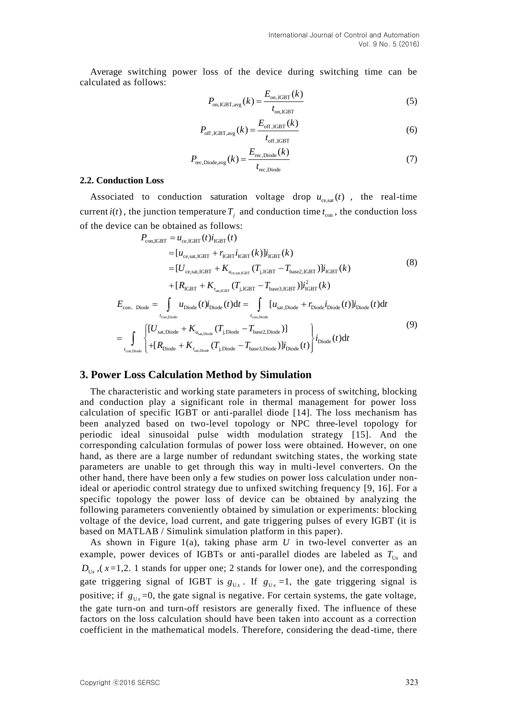Average switching power loss of the device during switching time can be calculated as follows:

$$
P_{\text{on,IGBT,avg}}(k) = \frac{E_{\text{on,IGBT}}(k)}{t_{\text{on,IGBT}}}
$$
\n(5)

$$
P_{\text{off,IGBT,avg}}(k) = \frac{E_{\text{off,IGBT}}(k)}{t_{\text{off,IGBT}}}
$$
(6)

$$
P_{\text{rec},\text{Diode,avg}}(k) = \frac{E_{\text{rec},\text{Diode}}(k)}{t_{\text{rec},\text{Diode}}}
$$
(7)

#### **2.2. Conduction Loss**

Associated to conduction saturation voltage drop  $u_{ce,sat}(t)$ , the real-time current  $i(t)$ , the junction temperature  $T_j$  and conduction time  $t_{\text{con}}$ , the conduction loss of the device can be obtained as follows: an be obtained as follow<br>  $P_{\text{con,GBT}} = u_{\text{ce,GBT}}(t) i_{\text{IGBT}}(t)$ 

$$
P_{\text{con,IGBT}} = u_{\text{ce,IGBT}}(t) i_{\text{IGBT}}(t)
$$
\n
$$
= [u_{\text{ce, sat,IGBT}} + r_{\text{IGBT}} i_{\text{IGBT}}(k)] i_{\text{IGBT}}(k)
$$
\n
$$
= [U_{\text{ce, sat,IGBT}} + K_{u_{\text{ce, sat,IGBT}}}(T_{\text{j,IGBT}} - T_{\text{base2,IGBT}})] i_{\text{IGBT}}(k)
$$
\n
$$
+ [R_{\text{IGBT}} + K_{r_{\text{sat,IGBT}}}(T_{\text{j,IGBT}} - T_{\text{base2,IGBT}})] i_{\text{IGBT}}^2(k)
$$
\n
$$
E_{\text{con, Diode}} = \int_{t_{\text{con, Diode}}} u_{\text{Diode}}(t) i_{\text{Diode}}(t) dt = \int_{t_{\text{con, Diode}}} [u_{\text{sat, Diode}} + r_{\text{Diode}} i_{\text{Diode}}(t)] i_{\text{Diode}}(t) dt
$$
\n
$$
= \int_{t_{\text{con, Diode}}} \left\{ \left[ U_{\text{sat, Diode}} + K_{u_{\text{sat, Diode}}}(T_{\text{j, Diode}} - T_{\text{base2, Diode}}) \right] - \left[ E_{\text{Dode}}(t) \right] i_{\text{Dode}}(t) \right\} i_{\text{Dode}}(t) dt \right\}
$$
\n(9)

#### **3. Power Loss Calculation Method by Simulation**

The characteristic and working state parameters in process of switching, blocking and conduction play a significant role in thermal management for power loss calculation of specific IGBT or anti-parallel diode [14]. The loss mechanism has been analyzed based on two-level topology or NPC three-level topology for periodic ideal sinusoidal pulse width modulation strategy [15]. And the corresponding calculation formulas of power loss were obtained. However, on one hand, as there are a large number of redundant switching states, the working state parameters are unable to get through this way in multi-level converters. On the other hand, there have been only a few studies on power loss calculation under nonideal or aperiodic control strategy due to unfixed switching frequency [9, 16]. For a specific topology the power loss of device can be obtained by analyzing the following parameters conveniently obtained by simulation or experiments: blocking voltage of the device, load current, and gate triggering pulses of every IGBT (it is based on MATLAB / Simulink simulation platform in this paper).

As shown in Figure  $1(a)$ , taking phase arm  $U$  in two-level converter as an example, power devices of IGBTs or anti-parallel diodes are labeled as  $T_{U_x}$  and  $D_{U_x}$ , ( $x=1,2$ . 1 stands for upper one; 2 stands for lower one), and the corresponding gate triggering signal of IGBT is  $g_{U_x}$ . If  $g_{U_x} = 1$ , the gate triggering signal is positive; if  $g_{U_x}$ =0, the gate signal is negative. For certain systems, the gate voltage, the gate turn-on and turn-off resistors are generally fixed. The influence of these factors on the loss calculation should have been taken into account as a correction coefficient in the mathematical models. Therefore, considering the dead-time, there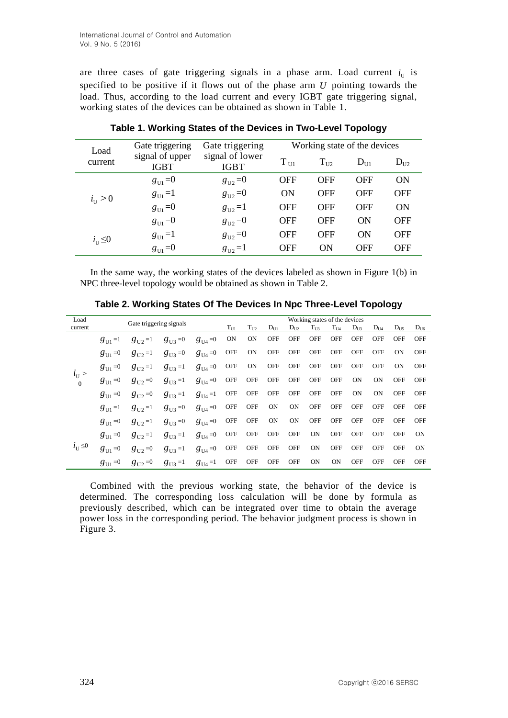are three cases of gate triggering signals in a phase arm. Load current  $i_U$  is specified to be positive if it flows out of the phase arm  $U$  pointing towards the load. Thus, according to the load current and every IGBT gate triggering signal, working states of the devices can be obtained as shown in Table 1.

| Load               | Gate triggering                | Gate triggering                | Working state of the devices |            |            |            |  |  |
|--------------------|--------------------------------|--------------------------------|------------------------------|------------|------------|------------|--|--|
| current            | signal of upper<br><b>IGBT</b> | signal of lower<br><b>IGBT</b> | $T_{U1}$                     | $T_{U2}$   | $D_{U1}$   | $D_{U2}$   |  |  |
|                    | $g_{U_1}=0$                    | $g_{\text{U2}}=0$              | <b>OFF</b>                   | <b>OFF</b> | <b>OFF</b> | <b>ON</b>  |  |  |
| $i_{\text{U}} > 0$ | $g_{U_1}=1$                    | $g_{U2} = 0$                   | ON                           | <b>OFF</b> | <b>OFF</b> | <b>OFF</b> |  |  |
|                    | $g_{U1} = 0$                   | $g_{U2} = 1$                   | <b>OFF</b>                   | <b>OFF</b> | <b>OFF</b> | ON         |  |  |
|                    | $g_{\rm U1} = 0$               | $g_{U2} = 0$                   | <b>OFF</b>                   | <b>OFF</b> | ON         | <b>OFF</b> |  |  |
| $i_U \leq 0$       | $g_{U_1}=1$                    | $g_{U2} = 0$                   | <b>OFF</b>                   | <b>OFF</b> | ON         | <b>OFF</b> |  |  |
|                    | $g_{U_1}=0$                    | $g_{U2} = 1$                   | <b>OFF</b>                   | ON         | <b>OFF</b> | <b>OFF</b> |  |  |

**Table 1. Working States of the Devices in Two-Level Topology**

In the same way, the working states of the devices labeled as shown in Figure 1(b) in NPC three-level topology would be obtained as shown in Table 2.

| Load                  | Gate triggering signals |               |                      |               | Working states of the devices |            |            |            |            |              |            |            |            |            |
|-----------------------|-------------------------|---------------|----------------------|---------------|-------------------------------|------------|------------|------------|------------|--------------|------------|------------|------------|------------|
| current               |                         |               |                      |               | $T_{U1}$                      | $T_{U2}$   | $D_{U1}$   | $D_{U2}$   | $T_{U3}$   | $\rm T_{U4}$ | $D_{U3}$   | $D_{U4}$   | $D_{115}$  | $D_{U6}$   |
|                       | $g_{\text{II}} = 1$     | $g_{112} = 1$ | $g_{U3} = 0$         | $g_{U4}=0$    | <b>ON</b>                     | <b>ON</b>  | <b>OFF</b> | <b>OFF</b> | <b>OFF</b> | <b>OFF</b>   | <b>OFF</b> | <b>OFF</b> | <b>OFF</b> | <b>OFF</b> |
|                       | $g_{\text{U1}} = 0$     | $g_{112}=1$   | $g_{\text{U3}} = 0$  | $g_{U4}=0$    | <b>OFF</b>                    | <b>ON</b>  | <b>OFF</b> | <b>OFF</b> | <b>OFF</b> | <b>OFF</b>   | <b>OFF</b> | <b>OFF</b> | <b>ON</b>  | <b>OFF</b> |
| $i_{\mathrm{U}}$ >    | $g_{\text{U1}} = 0$     | $g_{112} = 1$ | $g_{\text{II}3} = 1$ | $g_{U4}=0$    | <b>OFF</b>                    | <b>ON</b>  | <b>OFF</b> | <b>OFF</b> | OFF        | <b>OFF</b>   | <b>OFF</b> | <b>OFF</b> | <b>ON</b>  | <b>OFF</b> |
| $\theta$              | $g_{U_1}=0$             | $g_{112} = 0$ | $g_{U3} = 1$         | $g_{U4}=0$    | OFF                           | OFF        | <b>OFF</b> | <b>OFF</b> | <b>OFF</b> | <b>OFF</b>   | <b>ON</b>  | <b>ON</b>  | <b>OFF</b> | <b>OFF</b> |
|                       | $g_{\text{U1}}=0$       | $g_{112} = 0$ | $g_{U3} = 1$         | $g_{114} = 1$ | OFF                           | <b>OFF</b> | <b>OFF</b> | <b>OFF</b> | <b>OFF</b> | <b>OFF</b>   | ON         | <b>ON</b>  | <b>OFF</b> | <b>OFF</b> |
|                       | $g_{U_1} = 1$           | $g_{112} = 1$ | $g_{U3} = 0$         | $g_{U4}=0$    | OFF                           | <b>OFF</b> | <b>ON</b>  | <b>ON</b>  | <b>OFF</b> | <b>OFF</b>   | <b>OFF</b> | <b>OFF</b> | <b>OFF</b> | <b>OFF</b> |
|                       | $g_{U_1}=0$             | $g_{112}=1$   | $g_{U3} = 0$         | $g_{U4}=0$    | OFF                           | <b>OFF</b> | <b>ON</b>  | <b>ON</b>  | <b>OFF</b> | <b>OFF</b>   | <b>OFF</b> | <b>OFF</b> | <b>OFF</b> | <b>OFF</b> |
|                       | $g_{\text{III}} = 0$    | $g_{112}=1$   | $g_{U3} = 1$         | $g_{U4}=0$    | OFF                           | <b>OFF</b> | <b>OFF</b> | <b>OFF</b> | <b>ON</b>  | <b>OFF</b>   | <b>OFF</b> | <b>OFF</b> | <b>OFF</b> | ON         |
| $i_{\mathrm{U}}\leq0$ | $g_{U1} = 0$            | $g_{U2}=0$    | $g_{U3} = 1$         | $g_{U4}=0$    | OFF                           | <b>OFF</b> | <b>OFF</b> | <b>OFF</b> | <b>ON</b>  | <b>OFF</b>   | <b>OFF</b> | <b>OFF</b> | <b>OFF</b> | <b>ON</b>  |
|                       | $g_{\text{U1}} = 0$     | $g_{U2}=0$    | $g_{U3} = 1$         | $g_{U4} = 1$  | OFF                           | <b>OFF</b> | <b>OFF</b> | <b>OFF</b> | <b>ON</b>  | <b>ON</b>    | <b>OFF</b> | <b>OFF</b> | <b>OFF</b> | <b>OFF</b> |

**Table 2. Working States Of The Devices In Npc Three-Level Topology**

Combined with the previous working state, the behavior of the device is determined. The corresponding loss calculation will be done by formula as previously described, which can be integrated over time to obtain the average power loss in the corresponding period. The behavior judgment process is shown in Figure 3.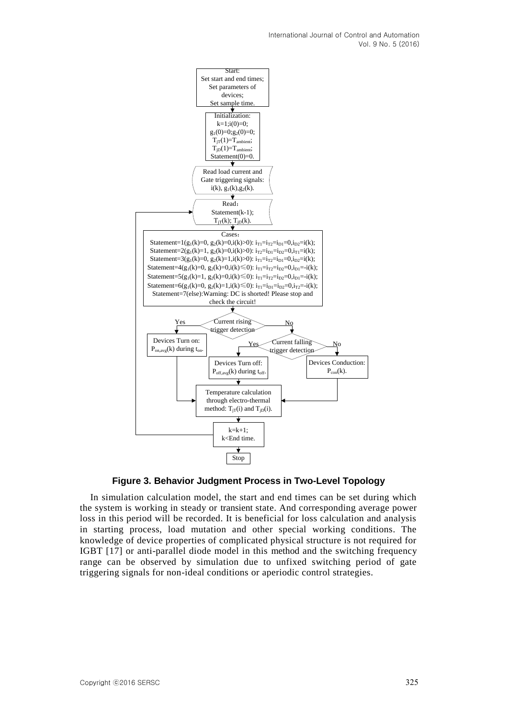International Journal of Control and Automation Vol. 9 No. 5 (2016)



**Figure 3. Behavior Judgment Process in Two-Level Topology**

In simulation calculation model, the start and end times can be set during which the system is working in steady or transient state. And corresponding average power loss in this period will be recorded. It is beneficial for loss calculation and analysis in starting process, load mutation and other special working conditions. The knowledge of device properties of complicated physical structure is not required for IGBT [17] or anti-parallel diode model in this method and the switching frequency range can be observed by simulation due to unfixed switching period of gate triggering signals for non-ideal conditions or aperiodic control strategies.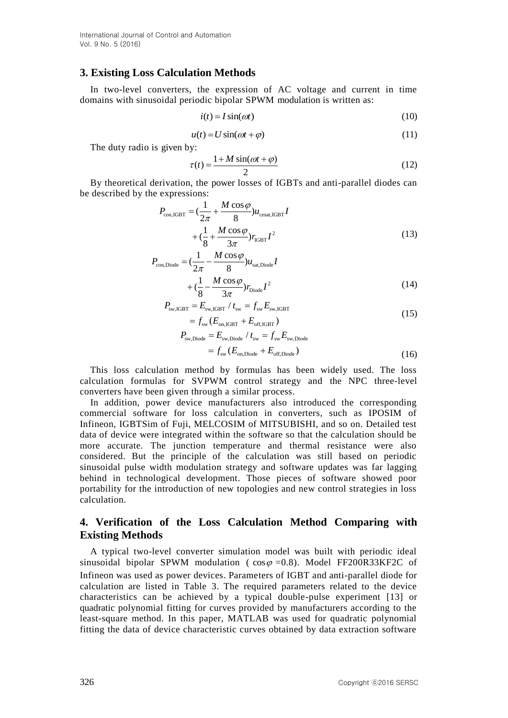## **3. Existing Loss Calculation Methods**

In two-level converters, the expression of AC voltage and current in time domains with sinusoidal periodic bipolar SPWM modulation is written as:

$$
i(t) = I\sin(\omega t) \tag{10}
$$

$$
u(t) = U\sin(\omega t + \varphi) \tag{11}
$$

The duty radio is given by:

$$
\tau(t) = \frac{1 + M\sin(\omega t + \varphi)}{2}
$$
\n(12)

By theoretical derivation, the power losses of IGBTs and anti-parallel diodes can be described by the expressions:

$$
P_{\text{con,IGBT}} = \left(\frac{1}{2\pi} + \frac{M\cos\varphi}{8}\right)u_{\text{cesat,IGBT}}I
$$
  
+ 
$$
\left(\frac{1}{8} + \frac{M\cos\varphi}{3\pi}\right)r_{\text{IGBT}}I^2
$$
(13)

$$
P_{\text{con,Diode}} = \left(\frac{1}{2\pi} - \frac{M\cos\varphi}{8}\right)u_{\text{sat,Diode}}I
$$

$$
+\left(\frac{1}{8} - \frac{M\cos\varphi}{3\pi}\right)r_{\text{Diode}}I^2
$$
(14)

$$
P_{\text{sw,IGBT}} = E_{\text{sw,IGBT}} / t_{\text{sw}} = f_{\text{sw}} E_{\text{sw,IGBT}}
$$
  
=  $f_{\text{sw}} (E_{\text{on,IGBT}} + E_{\text{off,IGBT}})$  (15)

$$
-J_{\text{sw}}(L_{\text{on,IGBT}} + L_{\text{off,IGBT}})
$$
  
\n
$$
P_{\text{sw,Diode}} = E_{\text{sw,Diode}} / t_{\text{sw}} = f_{\text{sw}} E_{\text{sw,Diode}}
$$
  
\n
$$
= f_{\text{sw}}(E_{\text{on,Diode}} + E_{\text{off,Diode}})
$$
\n(16)

This loss calculation method by formulas has been widely used. The loss calculation formulas for SVPWM control strategy and the NPC three-level converters have been given through a similar process.

In addition, power device manufacturers also introduced the corresponding commercial software for loss calculation in converters, such as IPOSIM of Infineon, IGBTSim of Fuji, MELCOSIM of MITSUBISHI, and so on. Detailed test data of device were integrated within the software so that the calculation should be more accurate. The junction temperature and thermal resistance were also considered. But the principle of the calculation was still based on periodic sinusoidal pulse width modulation strategy and software updates was far lagging behind in technological development. Those pieces of software showed poor portability for the introduction of new topologies and new control strategies in loss calculation.

# **4. Verification of the Loss Calculation Method Comparing with Existing Methods**

A typical two-level converter simulation model was built with periodic ideal sinusoidal bipolar SPWM modulation ( $\cos\varphi = 0.8$ ). Model FF200R33KF2C of Infineon was used as power devices. Parameters of IGBT and anti-parallel diode for calculation are listed in Table 3. The required parameters related to the device characteristics can be achieved by a typical double-pulse experiment [13] or quadratic polynomial fitting for curves provided by manufacturers according to the least-square method. In this paper, MATLAB was used for quadratic polynomial fitting the data of device characteristic curves obtained by data extraction software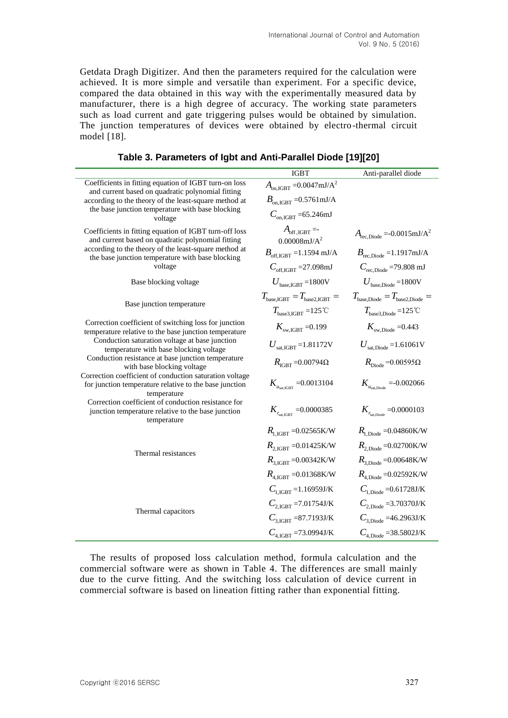Getdata Dragh Digitizer. And then the parameters required for the calculation were achieved. It is more simple and versatile than experiment. For a specific device, compared the data obtained in this way with the experimentally measured data by manufacturer, there is a high degree of accuracy. The working state parameters such as load current and gate triggering pulses would be obtained by simulation. The junction temperatures of devices were obtained by electro-thermal circuit model [18].

|                                                                                                                                         | <b>IGBT</b>                                        | Anti-parallel diode                                   |
|-----------------------------------------------------------------------------------------------------------------------------------------|----------------------------------------------------|-------------------------------------------------------|
| Coefficients in fitting equation of IGBT turn-on loss<br>and current based on quadratic polynomial fitting                              | $A_{on,IGBT} = 0.0047 \text{mJ/A}^2$               |                                                       |
| according to the theory of the least-square method at                                                                                   | $B_{\text{on. IGBT}} = 0.5761 \text{mJ/A}$         |                                                       |
| the base junction temperature with base blocking<br>voltage                                                                             | $C_{\rm on~IGBT}$ =65.246mJ                        |                                                       |
| Coefficients in fitting equation of IGBT turn-off loss<br>and current based on quadratic polynomial fitting                             | $A_{\rm off, IGBT} = -$<br>$0.00008 \text{mJ/A}^2$ | $A_{\text{rec},\text{Diode}} = -0.0015 \text{mJ/A}^2$ |
| according to the theory of the least-square method at<br>the base junction temperature with base blocking                               | $B_{\text{off, IGBT}} = 1.1594 \text{ mJ/A}$       | $B_{\text{rec.Diode}} = 1.1917 \text{mJ/A}$           |
| voltage                                                                                                                                 | $C_{\rm off. IGHT}$ = 27.098mJ                     | $C_{\text{rec.Diode}}$ =79.808 mJ                     |
| Base blocking voltage                                                                                                                   | $U_{\text{base IGRT}}$ =1800V                      | $U_{\text{base Diode}} = 1800V$                       |
| Base junction temperature                                                                                                               | $T_{\text{base.GBT}} = T_{\text{base2.GBT}} =$     | $T_{\text{base\_Diode}} = T_{\text{base2\_Diode}} =$  |
|                                                                                                                                         | $T_{base3,IGBT} = 125^{\circ}$ C                   | $T_{\text{base3. Diode}} = 125^{\circ}$ C             |
| Correction coefficient of switching loss for junction<br>temperature relative to the base junction temperature                          | $K_{\text{sw IGRT}} = 0.199$                       | $K_{\text{sw, Diode}} = 0.443$                        |
| Conduction saturation voltage at base junction<br>temperature with base blocking voltage                                                | $U_{\text{sat,IGBT}}$ =1.81172V                    | $U_{\text{sat,Diode}} = 1.61061 \text{V}$             |
| Conduction resistance at base junction temperature<br>with base blocking voltage                                                        | $R_{\text{IGBT}} = 0.00794\Omega$                  | $R_{\text{Diode}} = 0.00595\Omega$                    |
| Correction coefficient of conduction saturation voltage<br>for junction temperature relative to the base junction                       | $K_{u_{\text{sat ERT}}} = 0.0013104$               | $K_{u_{\text{sat Diode}}} = 0.002066$                 |
| temperature<br>Correction coefficient of conduction resistance for<br>junction temperature relative to the base junction<br>temperature | $K_{r_{\text{sat IGRT}}} = 0.0000385$              | $K_{\textit{r}_{\textrm{sat. Diode}}}$ =0.0000103     |
|                                                                                                                                         | $R_{1\,\text{IGBT}} = 0.02565\,\text{K/W}$         | $R_{1, \text{Diode}} = 0.04860 \text{K/W}$            |
| Thermal resistances                                                                                                                     | $R_{2,\text{IGBT}} = 0.01425 \text{K/W}$           | $R_{2, \text{Diode}} = 0.02700 \text{K/W}$            |
|                                                                                                                                         | $R_{3.1\text{GRT}} = 0.00342\text{K/W}$            | $R_{3. \text{Diode}} = 0.00648 \text{K/W}$            |
|                                                                                                                                         | $R_{4.1\text{GHT}} = 0.01368\text{K/W}$            | $R_{4. \text{Diode}} = 0.02592 \text{K/W}$            |
|                                                                                                                                         | $C_{1 \text{ IGRT}} = 1.16959 \text{J/K}$          | $C_{1. \text{Diode}} = 0.61728 \text{J/K}$            |
| Thermal capacitors                                                                                                                      | $C_{2.1\text{GBT}}$ = 7.01754J/K                   | $C_{2. \text{Diode}} = 3.70370 \text{J/K}$            |
|                                                                                                                                         | $C_{3 \text{ IGRT}}$ =87.7193J/K                   | $C_{3 \text{ Diode}} = 46.2963 \text{J/K}$            |
|                                                                                                                                         | $C_{4.1\text{GBT}}$ =73.0994J/K                    | $C_{4. \text{Diode}} = 38.5802 \text{J/K}$            |

**Table 3. Parameters of Igbt and Anti-Parallel Diode [19][20]**

The results of proposed loss calculation method, formula calculation and the commercial software were as shown in Table 4. The differences are small mainly due to the curve fitting. And the switching loss calculation of device current in commercial software is based on lineation fitting rather than exponential fitting.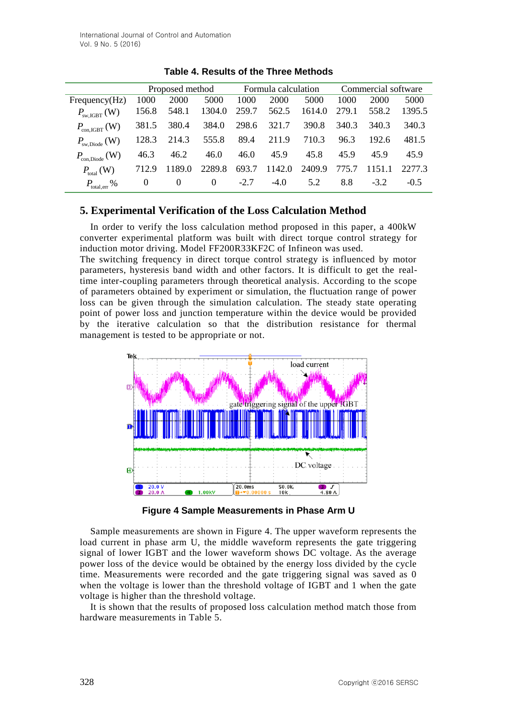|                                               |          | Proposed method Formula calculation |          |        |        |        | Commercial software |        |        |  |
|-----------------------------------------------|----------|-------------------------------------|----------|--------|--------|--------|---------------------|--------|--------|--|
| Frequency(Hz)                                 | 1000     | 2000                                | 5000     | 1000   | 2000   | 5000   | 1000                | 2000   | 5000   |  |
| $P_{\text{sw.GBT}}$ (W)                       | 156.8    | 548.1                               | 1304.0   | 259.7  | 562.5  | 1614.0 | 279.1               | 558.2  | 1395.5 |  |
| $P_{\text{con,IGBT}}(W)$                      | 381.5    | 380.4                               | 384.0    | 298.6  | 321.7  | 390.8  | 340.3               | 340.3  | 340.3  |  |
| $P_{\rm sw, Diode}$ (W)                       | 128.3    | 214.3                               | 555.8    | 89.4   | 211.9  | 710.3  | 96.3                | 192.6  | 481.5  |  |
| $P_{\text{con,Diode}}\left(\mathbf{W}\right)$ | 46.3     | 46.2                                | 46.0     | 46.0   | 45.9   | 45.8   | 45.9                | 45.9   | 45.9   |  |
| $P_{\text{total}}(\text{W})$                  | 712.9    | 1189.0                              | 2289.8   | 693.7  | 1142.0 | 2409.9 | 775.7               | 1151.1 | 2277.3 |  |
| $P_{\text{total, err}}$ %                     | $\theta$ | $\theta$                            | $\theta$ | $-2.7$ | $-4.0$ | 5.2    | 8.8                 | $-3.2$ | $-0.5$ |  |

**Table 4. Results of the Three Methods**

# **5. Experimental Verification of the Loss Calculation Method**

In order to verify the loss calculation method proposed in this paper, a 400kW converter experimental platform was built with direct torque control strategy for induction motor driving. Model FF200R33KF2C of Infineon was used.

The switching frequency in direct torque control strategy is influenced by motor parameters, hysteresis band width and other factors. It is difficult to get the realtime inter-coupling parameters through theoretical analysis. According to the scope of parameters obtained by experiment or simulation, the fluctuation range of power loss can be given through the simulation calculation. The steady state operating point of power loss and junction temperature within the device would be provided by the iterative calculation so that the distribution resistance for thermal management is tested to be appropriate or not.



**Figure 4 Sample Measurements in Phase Arm U**

Sample measurements are shown in Figure 4. The upper waveform represents the load current in phase arm U, the middle waveform represents the gate triggering signal of lower IGBT and the lower waveform shows DC voltage. As the average power loss of the device would be obtained by the energy loss divided by the cycle time. Measurements were recorded and the gate triggering signal was saved as 0 when the voltage is lower than the threshold voltage of IGBT and 1 when the gate voltage is higher than the threshold voltage.

It is shown that the results of proposed loss calculation method match those from hardware measurements in Table 5.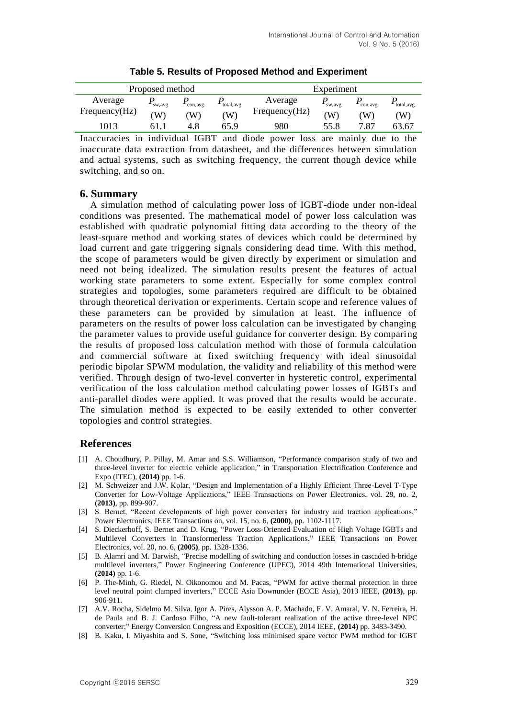|                          | Proposed method |               |                   | Experiment               |              |               |                  |  |  |
|--------------------------|-----------------|---------------|-------------------|--------------------------|--------------|---------------|------------------|--|--|
| Average<br>Frequency(Hz) | sw, avg<br>W)   | con, avg<br>W | total, avg<br>'W) | Average<br>Frequency(Hz) | sw,avg<br>(W | con, avg<br>W | total, avg<br>W) |  |  |
| 1013                     |                 | 4.8           | 65.9              | 980                      | 55.8         | 7.87          | 63.67            |  |  |

**Table 5. Results of Proposed Method and Experiment**

Inaccuracies in individual IGBT and diode power loss are mainly due to the inaccurate data extraction from datasheet, and the differences between simulation and actual systems, such as switching frequency, the current though device while switching, and so on.

### **6. Summary**

A simulation method of calculating power loss of IGBT-diode under non-ideal conditions was presented. The mathematical model of power loss calculation was established with quadratic polynomial fitting data according to the theory of the least-square method and working states of devices which could be determined by load current and gate triggering signals considering dead time. With this method, the scope of parameters would be given directly by experiment or simulation and need not being idealized. The simulation results present the features of actual working state parameters to some extent. Especially for some complex control strategies and topologies, some parameters required are difficult to be obtained through theoretical derivation or experiments. Certain scope and reference values of these parameters can be provided by simulation at least. The influence of parameters on the results of power loss calculation can be investigated by changing the parameter values to provide useful guidance for converter design. By comparing the results of proposed loss calculation method with those of formula calculation and commercial software at fixed switching frequency with ideal sinusoidal periodic bipolar SPWM modulation, the validity and reliability of this method were verified. Through design of two-level converter in hysteretic control, experimental verification of the loss calculation method calculating power losses of IGBTs and anti-parallel diodes were applied. It was proved that the results would be accurate. The simulation method is expected to be easily extended to other converter topologies and control strategies.

### **References**

- [1] A. Choudhury, P. Pillay, M. Amar and S.S. Williamson, "Performance comparison study of two and three-level inverter for electric vehicle application," in Transportation Electrification Conference and Expo (ITEC), **(2014)** pp. 1-6.
- [2] M. Schweizer and J.W. Kolar, "Design and Implementation of a Highly Efficient Three-Level T-Type Converter for Low-Voltage Applications," IEEE Transactions on Power Electronics, vol. 28, no. 2, **(2013)**, pp. 899-907.
- [3] S. Bernet, "Recent developments of high power converters for industry and traction applications," Power Electronics, IEEE Transactions on, vol. 15, no. 6, **(2000)**, pp. 1102-1117.
- [4] S. Dieckerhoff, S. Bernet and D. Krug, "Power Loss-Oriented Evaluation of High Voltage IGBTs and Multilevel Converters in Transformerless Traction Applications," IEEE Transactions on Power Electronics, vol. 20, no. 6, **(2005)**, pp. 1328-1336.
- [5] B. Alamri and M. Darwish, "Precise modelling of switching and conduction losses in cascaded h-bridge multilevel inverters," Power Engineering Conference (UPEC), 2014 49th International Universities, **(2014)** pp. 1-6.
- [6] P. The-Minh, G. Riedel, N. Oikonomou and M. Pacas, "PWM for active thermal protection in three level neutral point clamped inverters," ECCE Asia Downunder (ECCE Asia), 2013 IEEE, **(2013)**, pp. 906-911.
- [7] A.V. Rocha, Sidelmo M. Silva, Igor A. Pires, Alysson A. P. Machado, F. V. Amaral, V. N. Ferreira, H. de Paula and B. J. Cardoso Filho, "A new fault-tolerant realization of the active three-level NPC converter;" Energy Conversion Congress and Exposition (ECCE), 2014 IEEE, **(2014)** pp. 3483-3490.
- [8] B. Kaku, I. Miyashita and S. Sone, "Switching loss minimised space vector PWM method for IGBT